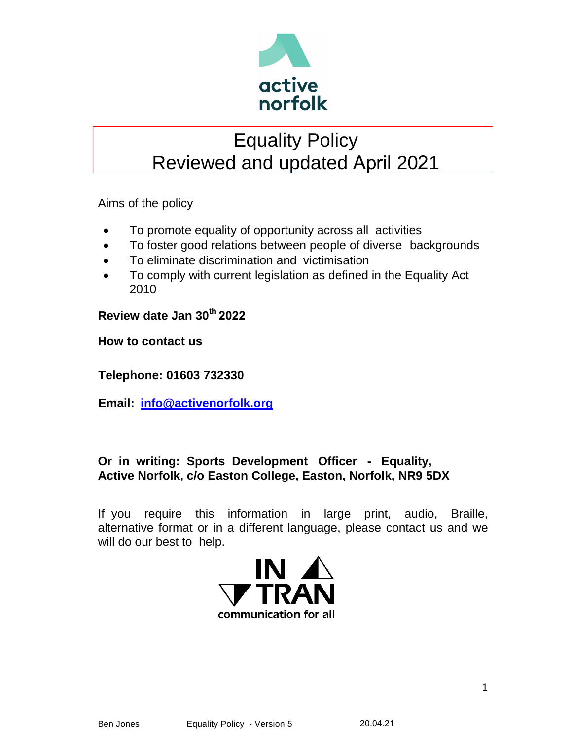

# Equality Policy Reviewed and updated April 2021

Aims of the policy

- To promote equality of opportunity across all activities
- To foster good relations between people of diverse backgrounds
- To eliminate discrimination and victimisation
- To comply with current legislation as defined in the Equality Act 2010

**Review date Jan 30 th 2022**

**How to contact us** 

**Telephone: 01603 732330**

**Email: [info@activenorfolk.org](mailto:info@activenorfolk.org)**

# **Or in writing: Sports Development Officer - Equality, Active Norfolk, c/o Easton College, Easton, Norfolk, NR9 5DX**

If you require this information in large print, audio, Braille, alternative format or in a different language, please contact us and we will do our best to help.

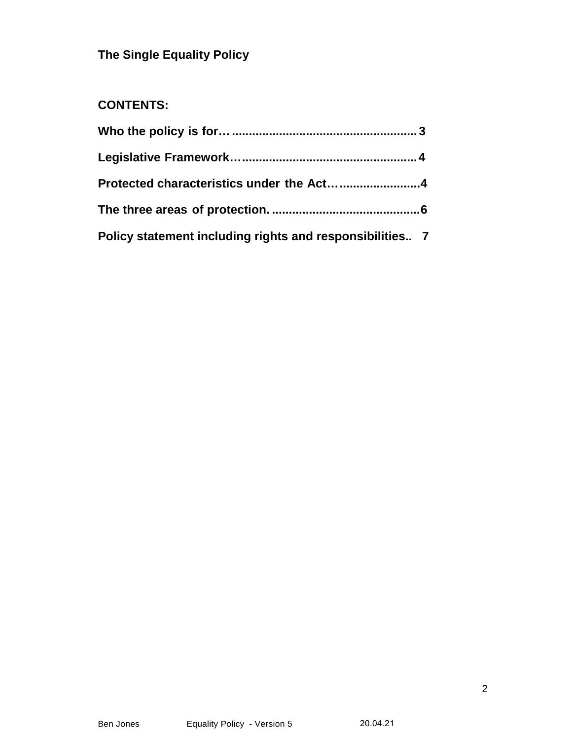# **The Single Equality Policy**

# **CONTENTS:**

| Policy statement including rights and responsibilities 7 |  |
|----------------------------------------------------------|--|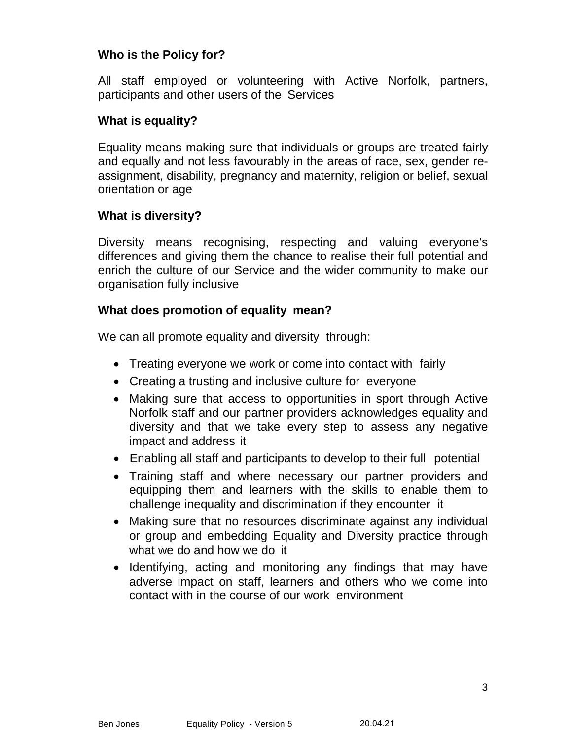### **Who is the Policy for?**

All staff employed or volunteering with Active Norfolk, partners, participants and other users of the Services

#### **What is equality?**

Equality means making sure that individuals or groups are treated fairly and equally and not less favourably in the areas of race, sex, gender reassignment, disability, pregnancy and maternity, religion or belief, sexual orientation or age

#### **What is diversity?**

Diversity means recognising, respecting and valuing everyone's differences and giving them the chance to realise their full potential and enrich the culture of our Service and the wider community to make our organisation fully inclusive

#### **What does promotion of equality mean?**

We can all promote equality and diversity through:

- Treating everyone we work or come into contact with fairly
- Creating a trusting and inclusive culture for everyone
- Making sure that access to opportunities in sport through Active Norfolk staff and our partner providers acknowledges equality and diversity and that we take every step to assess any negative impact and address it
- Enabling all staff and participants to develop to their full potential
- Training staff and where necessary our partner providers and equipping them and learners with the skills to enable them to challenge inequality and discrimination if they encounter it
- Making sure that no resources discriminate against any individual or group and embedding Equality and Diversity practice through what we do and how we do it
- Identifying, acting and monitoring any findings that may have adverse impact on staff, learners and others who we come into contact with in the course of our work environment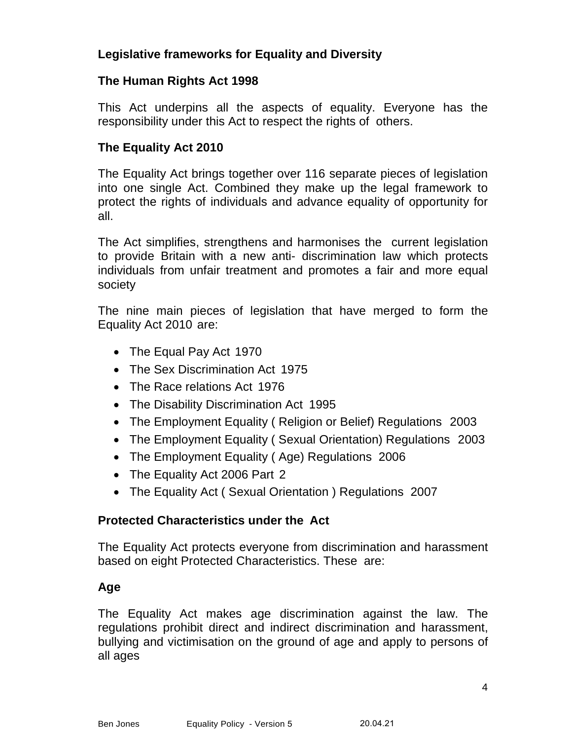# **Legislative frameworks for Equality and Diversity**

#### **The Human Rights Act 1998**

This Act underpins all the aspects of equality. Everyone has the responsibility under this Act to respect the rights of others.

# **The Equality Act 2010**

The Equality Act brings together over 116 separate pieces of legislation into one single Act. Combined they make up the legal framework to protect the rights of individuals and advance equality of opportunity for all.

The Act simplifies, strengthens and harmonises the current legislation to provide Britain with a new anti- discrimination law which protects individuals from unfair treatment and promotes a fair and more equal society

The nine main pieces of legislation that have merged to form the Equality Act 2010 are:

- The Equal Pay Act 1970
- The Sex Discrimination Act 1975
- The Race relations Act 1976
- The Disability Discrimination Act 1995
- The Employment Equality (Religion or Belief) Regulations 2003
- The Employment Equality ( Sexual Orientation) Regulations 2003
- The Employment Equality (Age) Regulations 2006
- The Equality Act 2006 Part 2
- The Equality Act (Sexual Orientation) Regulations 2007

# <span id="page-3-0"></span>**Protected Characteristics under the Act**

The Equality Act protects everyone from discrimination and harassment based on eight Protected Characteristics. These are:

# **Age**

The Equality Act makes age discrimination against the law. The regulations prohibit direct and indirect discrimination and harassment, bullying and victimisation on the ground of age and apply to persons of all ages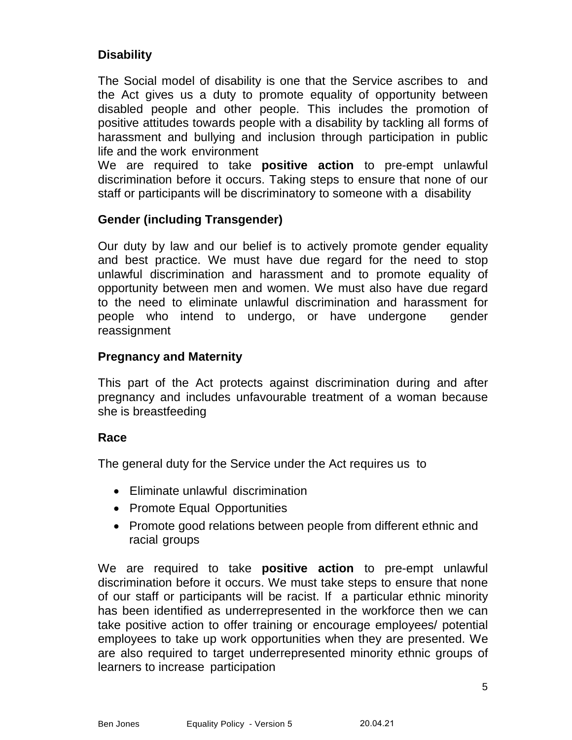# **Disability**

The Social model of disability is one that the Service ascribes to and the Act gives us a duty to promote equality of opportunity between disabled people and other people. This includes the promotion of positive attitudes towards people with a disability by tackling all forms of harassment and bullying and inclusion through participation in public life and the work environment

We are required to take **positive action** to pre-empt unlawful discrimination before it occurs. Taking steps to ensure that none of our staff or participants will be discriminatory to someone with a disability

#### **Gender (including Transgender)**

Our duty by law and our belief is to actively promote gender equality and best practice. We must have due regard for the need to stop unlawful discrimination and harassment and to promote equality of opportunity between men and women. We must also have due regard to the need to eliminate unlawful discrimination and harassment for people who intend to undergo, or have undergone gender reassignment

#### **Pregnancy and Maternity**

This part of the Act protects against discrimination during and after pregnancy and includes unfavourable treatment of a woman because she is breastfeeding

#### **Race**

The general duty for the Service under the Act requires us to

- Eliminate unlawful discrimination
- Promote Equal Opportunities
- Promote good relations between people from different ethnic and racial groups

We are required to take **positive action** to pre-empt unlawful discrimination before it occurs. We must take steps to ensure that none of our staff or participants will be racist. If a particular ethnic minority has been identified as underrepresented in the workforce then we can take positive action to offer training or encourage employees/ potential employees to take up work opportunities when they are presented. We are also required to target underrepresented minority ethnic groups of learners to increase participation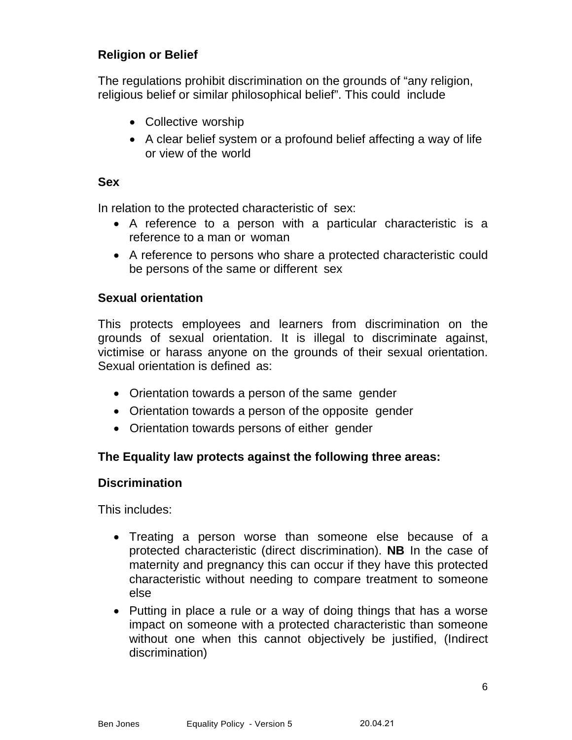# **Religion or Belief**

The regulations prohibit discrimination on the grounds of "any religion, religious belief or similar philosophical belief". This could include

- Collective worship
- A clear belief system or a profound belief affecting a way of life or view of the world

#### **Sex**

In relation to the protected characteristic of sex:

- A reference to a person with a particular characteristic is a reference to a man or woman
- A reference to persons who share a protected characteristic could be persons of the same or different sex

#### **Sexual orientation**

This protects employees and learners from discrimination on the grounds of sexual orientation. It is illegal to discriminate against, victimise or harass anyone on the grounds of their sexual orientation. Sexual orientation is defined as:

- Orientation towards a person of the same gender
- Orientation towards a person of the opposite gender
- Orientation towards persons of either gender

# **The Equality law protects against the following three areas:**

#### **Discrimination**

This includes:

- Treating a person worse than someone else because of a protected characteristic (direct discrimination). **NB** In the case of maternity and pregnancy this can occur if they have this protected characteristic without needing to compare treatment to someone else
- Putting in place a rule or a way of doing things that has a worse impact on someone with a protected characteristic than someone without one when this cannot objectively be justified, (Indirect discrimination)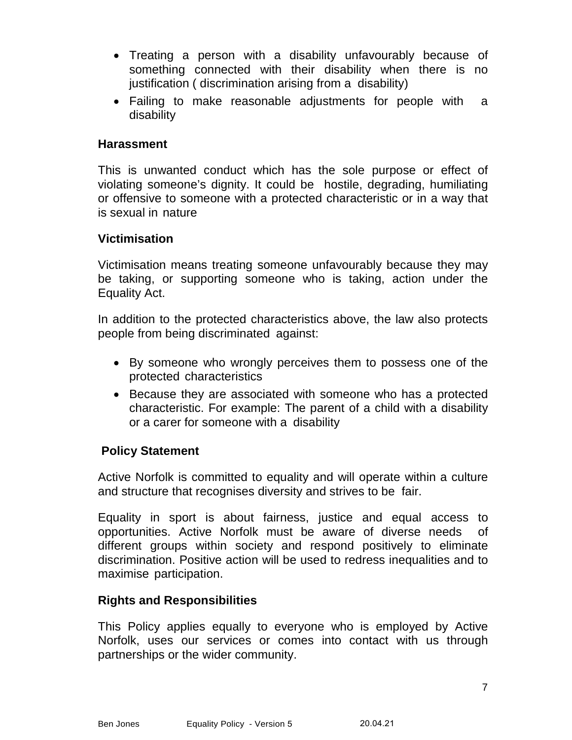- Treating a person with a disability unfavourably because of something connected with their disability when there is no justification ( discrimination arising from a disability)
- Failing to make reasonable adjustments for people with a disability

#### **Harassment**

This is unwanted conduct which has the sole purpose or effect of violating someone's dignity. It could be hostile, degrading, humiliating or offensive to someone with a protected characteristic or in a way that is sexual in nature

#### **Victimisation**

Victimisation means treating someone unfavourably because they may be taking, or supporting someone who is taking, action under the Equality Act.

In addition to the protected characteristics above, the law also protects people from being discriminated against:

- By someone who wrongly perceives them to possess one of the protected characteristics
- Because they are associated with someone who has a protected characteristic. For example: The parent of a child with a disability or a carer for someone with a disability

#### **Policy Statement**

Active Norfolk is committed to equality and will operate within a culture and structure that recognises diversity and strives to be fair.

Equality in sport is about fairness, justice and equal access to opportunities. Active Norfolk must be aware of diverse needs of different groups within society and respond positively to eliminate discrimination. Positive action will be used to redress inequalities and to maximise participation.

#### **Rights and Responsibilities**

This Policy applies equally to everyone who is employed by Active Norfolk, uses our services or comes into contact with us through partnerships or the wider community.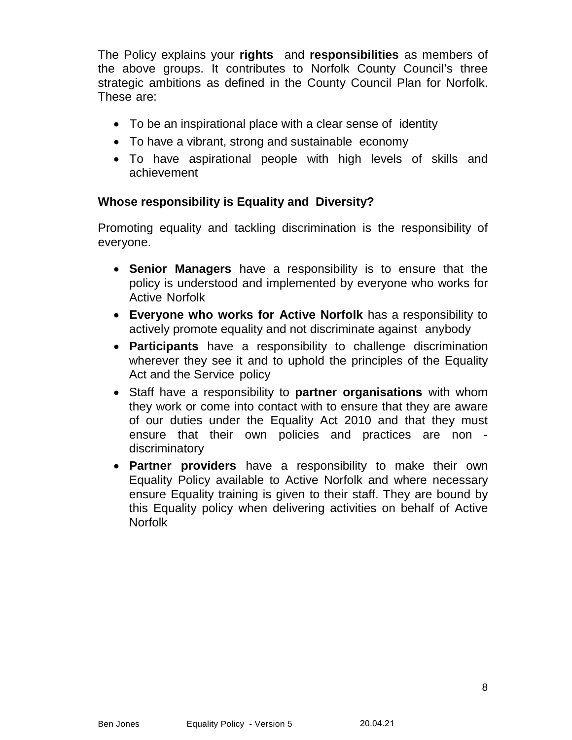The Policy explains your **rights** and **responsibilities** as members of the above groups. It contributes to Norfolk County Council's three strategic ambitions as defined in the County Council Plan for Norfolk. These are:

- To be an inspirational place with a clear sense of identity
- To have a vibrant, strong and sustainable economy
- To have aspirational people with high levels of skills and achievement

#### **Whose responsibility is Equality and Diversity?**

Promoting equality and tackling discrimination is the responsibility of everyone.

- **Senior Managers** have a responsibility is to ensure that the policy is understood and implemented by everyone who works for Active Norfolk
- **Everyone who works for Active Norfolk** has a responsibility to actively promote equality and not discriminate against anybody
- **Participants** have a responsibility to challenge discrimination wherever they see it and to uphold the principles of the Equality Act and the Service policy
- Staff have a responsibility to **partner organisations** with whom they work or come into contact with to ensure that they are aware of our duties under the Equality Act 2010 and that they must ensure that their own policies and practices are non discriminatory
- **Partner providers** have a responsibility to make their own Equality Policy available to Active Norfolk and where necessary ensure Equality training is given to their staff. They are bound by this Equality policy when delivering activities on behalf of Active Norfolk